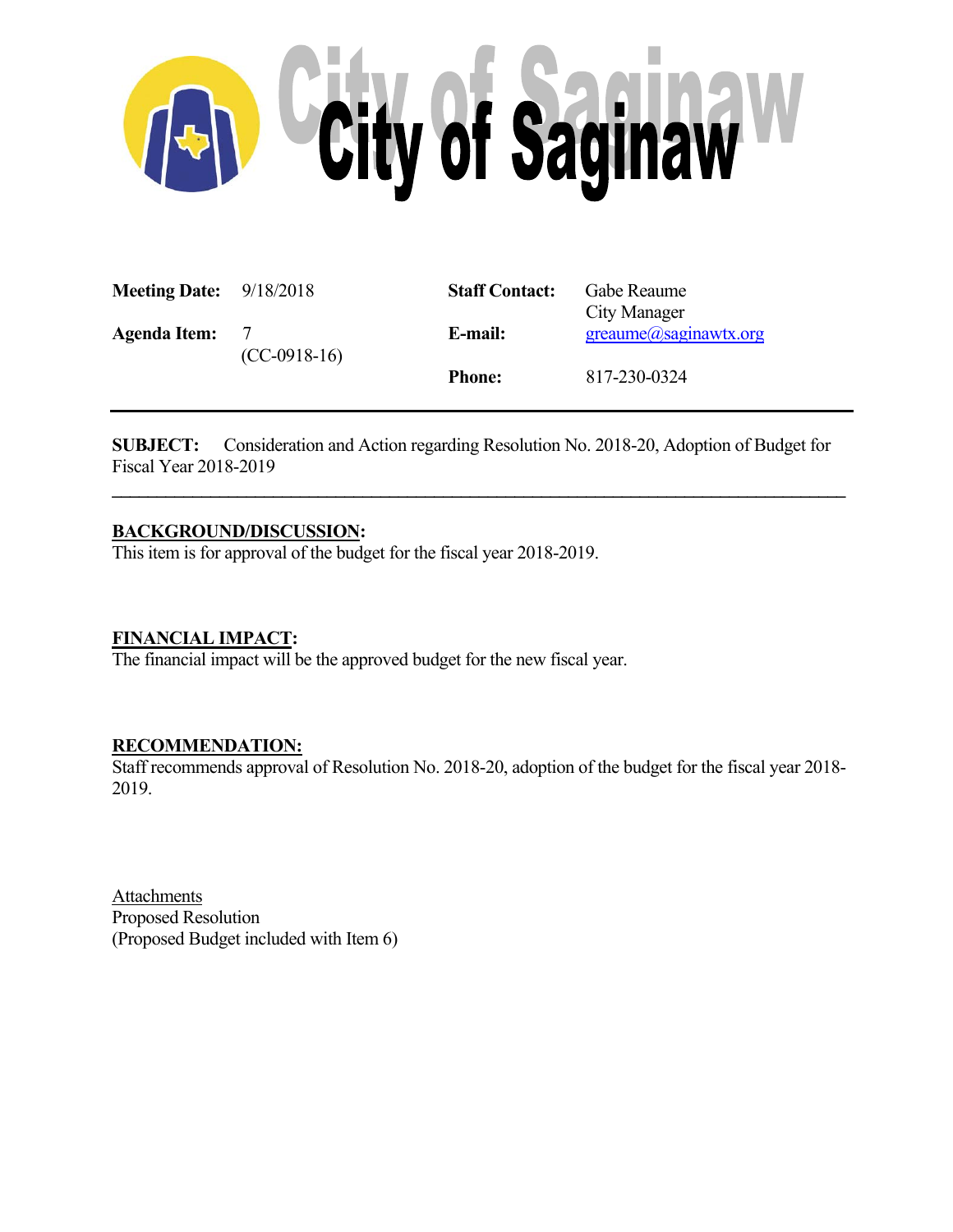

| <b>Meeting Date:</b> $9/18/2018$ |                            | <b>Staff Contact:</b> | Gabe Reaume<br>City Manager     |
|----------------------------------|----------------------------|-----------------------|---------------------------------|
| <b>Agenda Item:</b>              | $\gamma$<br>$(CC-0918-16)$ | E-mail:               | $green$ ume $(a)$ saginawtx.org |
|                                  |                            | <b>Phone:</b>         | 817-230-0324                    |

**SUBJECT:** Consideration and Action regarding Resolution No. 2018-20, Adoption of Budget for Fiscal Year 2018-2019

 $\mathcal{L} = \{ \mathcal{L} \mathcal{L} \mathcal{L} \mathcal{L} \mathcal{L} \mathcal{L} \mathcal{L} \mathcal{L} \mathcal{L} \mathcal{L} \mathcal{L} \mathcal{L} \mathcal{L} \mathcal{L} \mathcal{L} \mathcal{L} \mathcal{L} \mathcal{L} \mathcal{L} \mathcal{L} \mathcal{L} \mathcal{L} \mathcal{L} \mathcal{L} \mathcal{L} \mathcal{L} \mathcal{L} \mathcal{L} \mathcal{L} \mathcal{L} \mathcal{L} \mathcal{L} \mathcal{L} \mathcal{L} \mathcal{L} \$ 

# **BACKGROUND/DISCUSSION:**

This item is for approval of the budget for the fiscal year 2018-2019.

### **FINANCIAL IMPACT:**

The financial impact will be the approved budget for the new fiscal year.

# **RECOMMENDATION:**

Staff recommends approval of Resolution No. 2018-20, adoption of the budget for the fiscal year 2018- 2019.

Attachments Proposed Resolution (Proposed Budget included with Item 6)